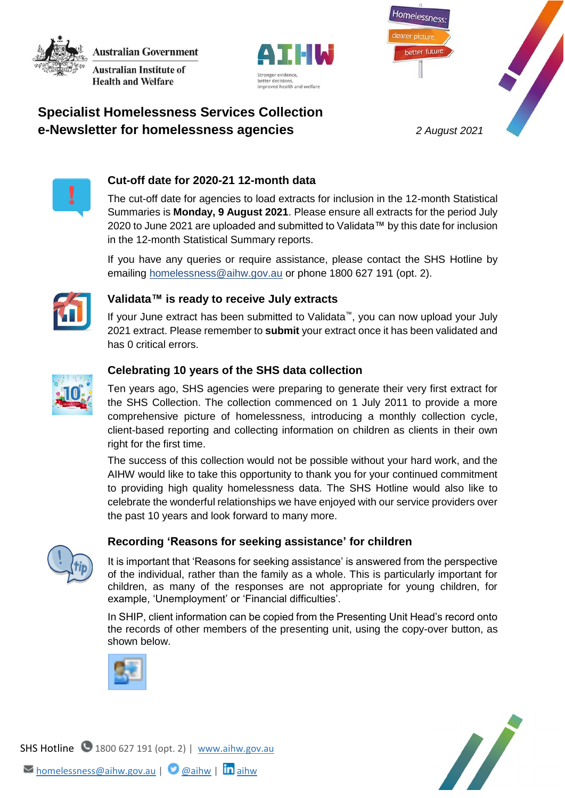**Australian Government Australian Institute of Health and Welfare** 



Homelessness better future

# **Specialist Homelessness Services Collection e-Newsletter for homelessness agencies** *2 August 2021*



## **Cut-off date for 2020-21 12-month data**

The cut-off date for agencies to load extracts for inclusion in the 12-month Statistical Summaries is **Monday, 9 August 2021**. Please ensure all extracts for the period July 2020 to June 2021 are uploaded and submitted to Validata™ by this date for inclusion in the 12-month Statistical Summary reports.

If you have any queries or require assistance, please contact the SHS Hotline by emailing [homelessness@aihw.gov.au](mailto:homelessness@aihw.gov.au) or phone 1800 627 191 (opt. 2).



#### **Validata™ is ready to receive July extracts**

If your June extract has been submitted to Validata™, you can now upload your July 2021 extract. Please remember to **submit** your extract once it has been validated and has 0 critical errors.



## **Celebrating 10 years of the SHS data collection**

Ten years ago, SHS agencies were preparing to generate their very first extract for the SHS Collection. The collection commenced on 1 July 2011 to provide a more comprehensive picture of homelessness, introducing a monthly collection cycle, client-based reporting and collecting information on children as clients in their own right for the first time.

The success of this collection would not be possible without your hard work, and the AIHW would like to take this opportunity to thank you for your continued commitment to providing high quality homelessness data. The SHS Hotline would also like to celebrate the wonderful relationships we have enjoyed with our service providers over the past 10 years and look forward to many more.



## **Recording 'Reasons for seeking assistance' for children**

It is important that 'Reasons for seeking assistance' is answered from the perspective of the individual, rather than the family as a whole. This is particularly important for children, as many of the responses are not appropriate for young children, for example, 'Unemployment' or 'Financial difficulties'.

In SHIP, client information can be copied from the Presenting Unit Head's record onto the records of other members of the presenting unit, using the copy-over button, as shown below.



N.

SHS Hotline 1800 627 191 (opt. 2) | [www.aihw.gov.au](http://www.aihw.gov.au/)  $\triangleright$  [homelessness@aihw.gov.au](mailto:homelessness@aihw.gov.au) |  $\bigcirc$  [@aihw](https://twitter.com/aihw) |  $\ln$ [aihw](https://www.linkedin.com/company/australian-institute-of-health-and-welfare/)